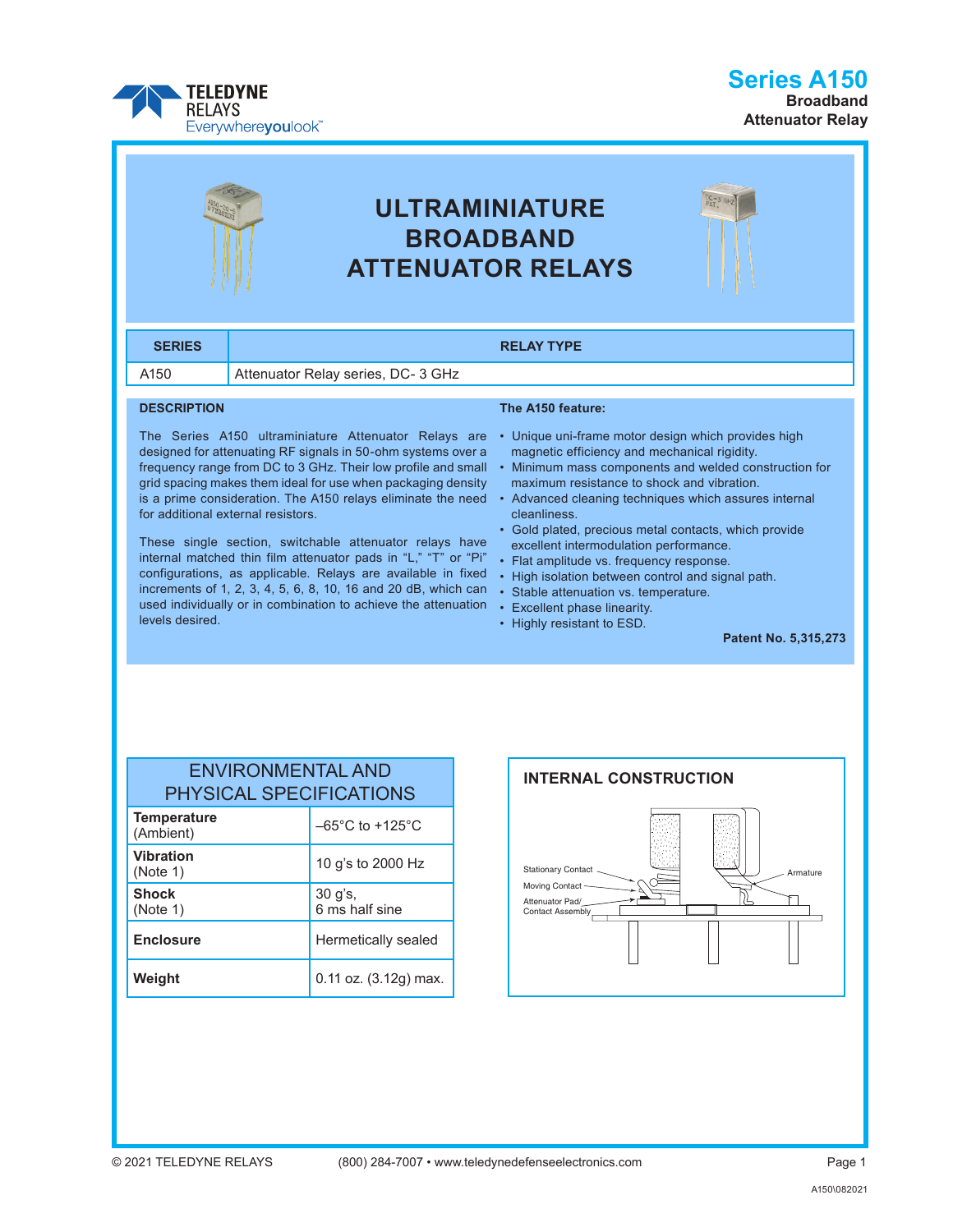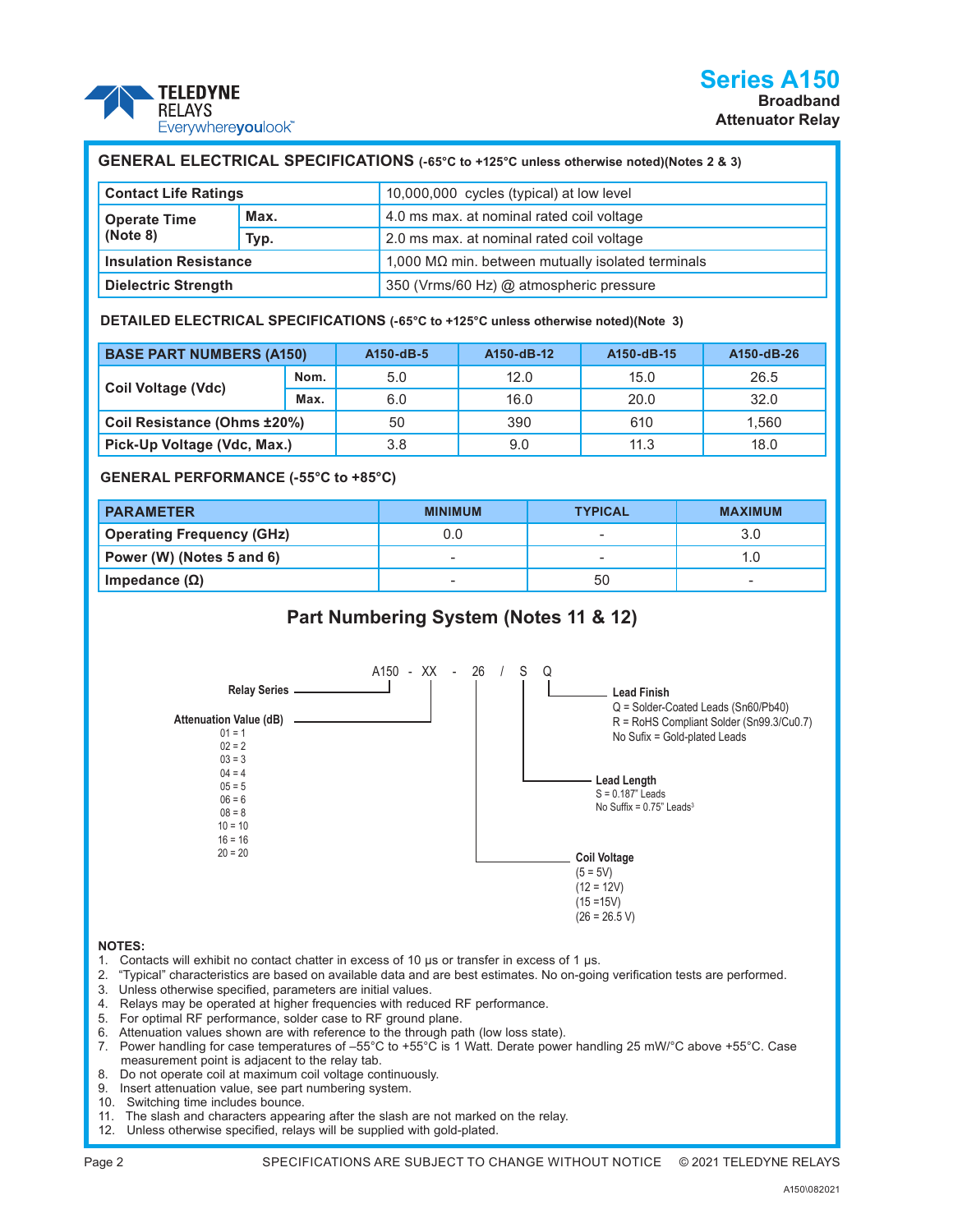

| GENERAL ELECTRICAL SPECIFICATIONS (-65°C to +125°C unless otherwise noted)(Notes 2 & 3) |      |                                                           |  |  |
|-----------------------------------------------------------------------------------------|------|-----------------------------------------------------------|--|--|
| <b>Contact Life Ratings</b>                                                             |      | 10,000,000 cycles (typical) at low level                  |  |  |
| <b>Operate Time</b><br>(Note 8)                                                         | Max. | 4.0 ms max. at nominal rated coil voltage                 |  |  |
|                                                                                         | Typ. | 2.0 ms max. at nominal rated coil voltage                 |  |  |
| <b>Insulation Resistance</b>                                                            |      | 1,000 M $\Omega$ min. between mutually isolated terminals |  |  |
| <b>Dielectric Strength</b>                                                              |      | 350 (Vrms/60 Hz) @ atmospheric pressure                   |  |  |

**DETAILED ELECTRICAL SPECIFICATIONS (-65°C to +125°C unless otherwise noted)(Note 3)**

| <b>BASE PART NUMBERS (A150)</b> |      | A150-dB-5 | A150-dB-12 | A150-dB-15 | A150-dB-26 |
|---------------------------------|------|-----------|------------|------------|------------|
|                                 | Nom. | 5.0       | 12.0       | 15.0       | 26.5       |
| Coil Voltage (Vdc)              | Max. | 6.0       | 16.0       | 20.0       | 32.0       |
| Coil Resistance (Ohms ±20%)     |      | 50        | 390        | 610        | 1.560      |
| Pick-Up Voltage (Vdc, Max.)     |      | 3.8       | 9.0        | 11.3       | 18.0       |

**GENERAL PERFORMANCE (-55°C to +85°C)**

| <b>PARAMETER</b>                 | <b>MINIMUM</b>           | <b>TYPICAL</b> | <b>MAXIMUM</b> |
|----------------------------------|--------------------------|----------------|----------------|
| <b>Operating Frequency (GHz)</b> | 0.0                      |                | 3.0            |
| Power (W) (Notes 5 and 6)        | $\sim$                   |                |                |
| Impedance (Ω)                    | $\overline{\phantom{a}}$ | 50             | -              |

## **Part Numbering System (Notes 11 & 12)**



## **NOTES:**

- 1. Contacts will exhibit no contact chatter in excess of 10 μs or transfer in excess of 1 μs.
- 2. "Typical" characteristics are based on available data and are best estimates. No on-going verification tests are performed.
- 3. Unless otherwise specified, parameters are initial values.
- 4. Relays may be operated at higher frequencies with reduced RF performance.
- 5. For optimal RF performance, solder case to RF ground plane.
- 6. Attenuation values shown are with reference to the through path (low loss state).
- 7. Power handling for case temperatures of –55°C to +55°C is 1 Watt. Derate power handling 25 mW/°C above +55°C. Case measurement point is adjacent to the relay tab.
- 8. Do not operate coil at maximum coil voltage continuously.
- 9. Insert attenuation value, see part numbering system.
- 10. Switching time includes bounce.
- 11. The slash and characters appearing after the slash are not marked on the relay.
- 12. Unless otherwise specified, relays will be supplied with gold-plated.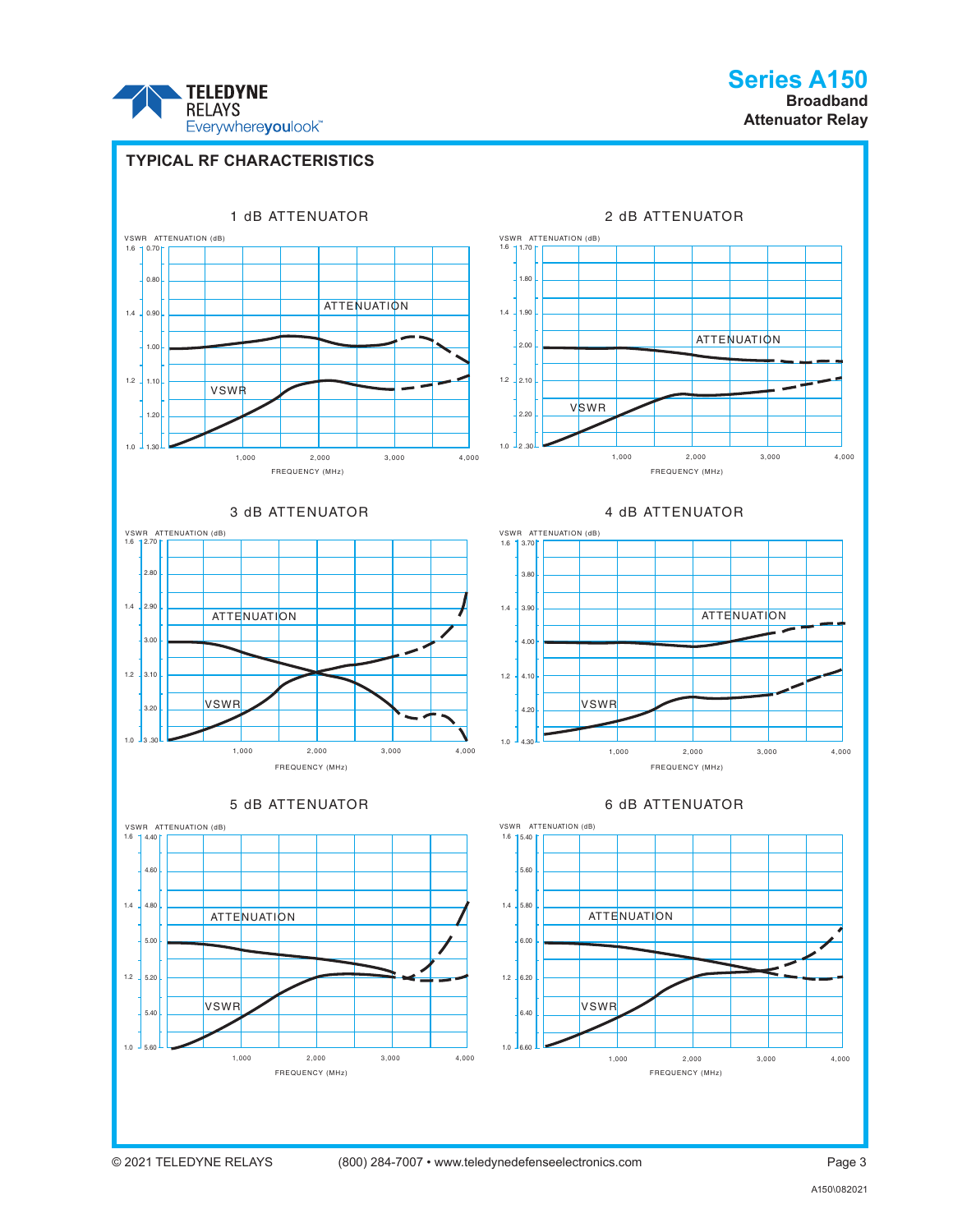

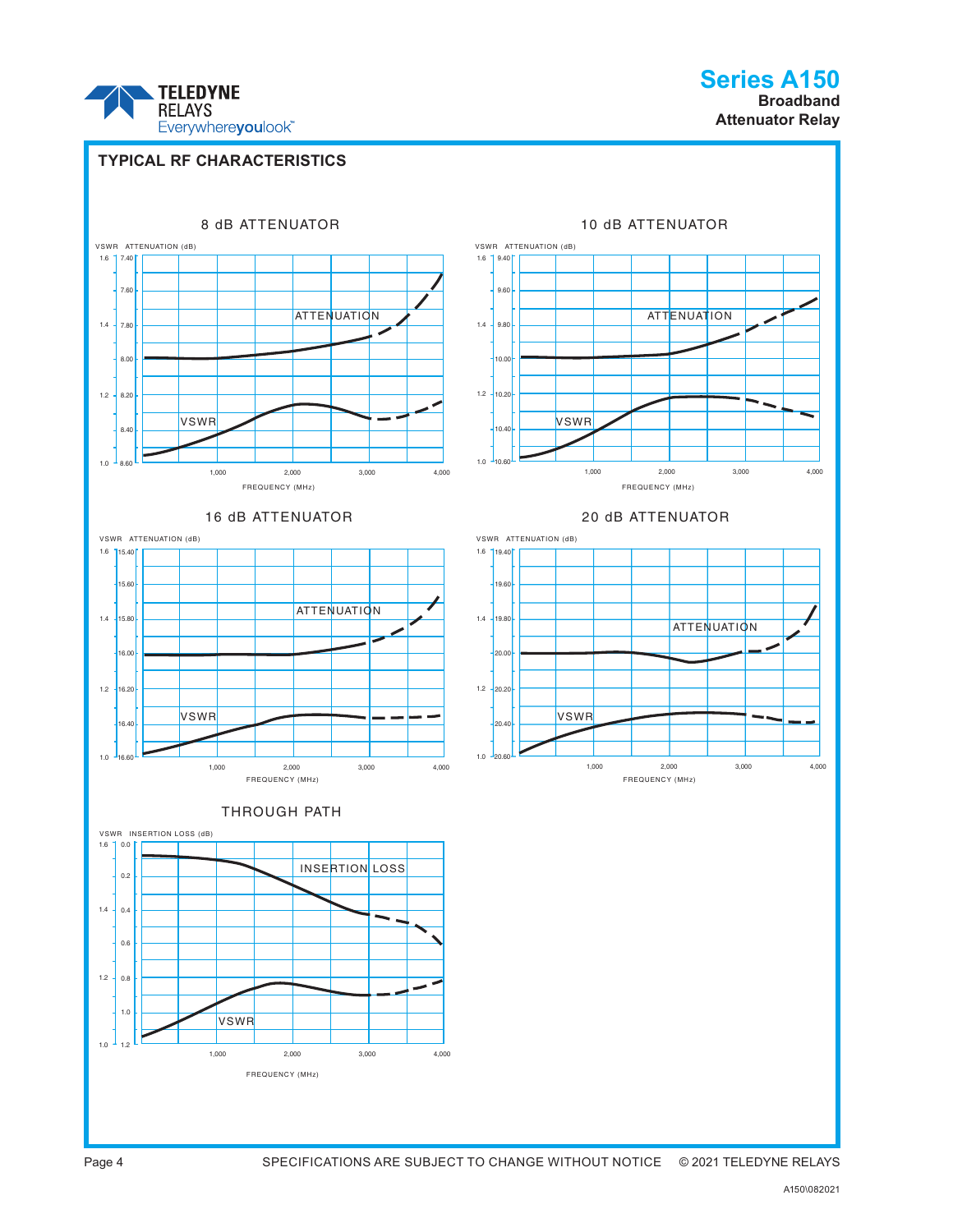

**Series A150 Broadband Attenuator Relay**

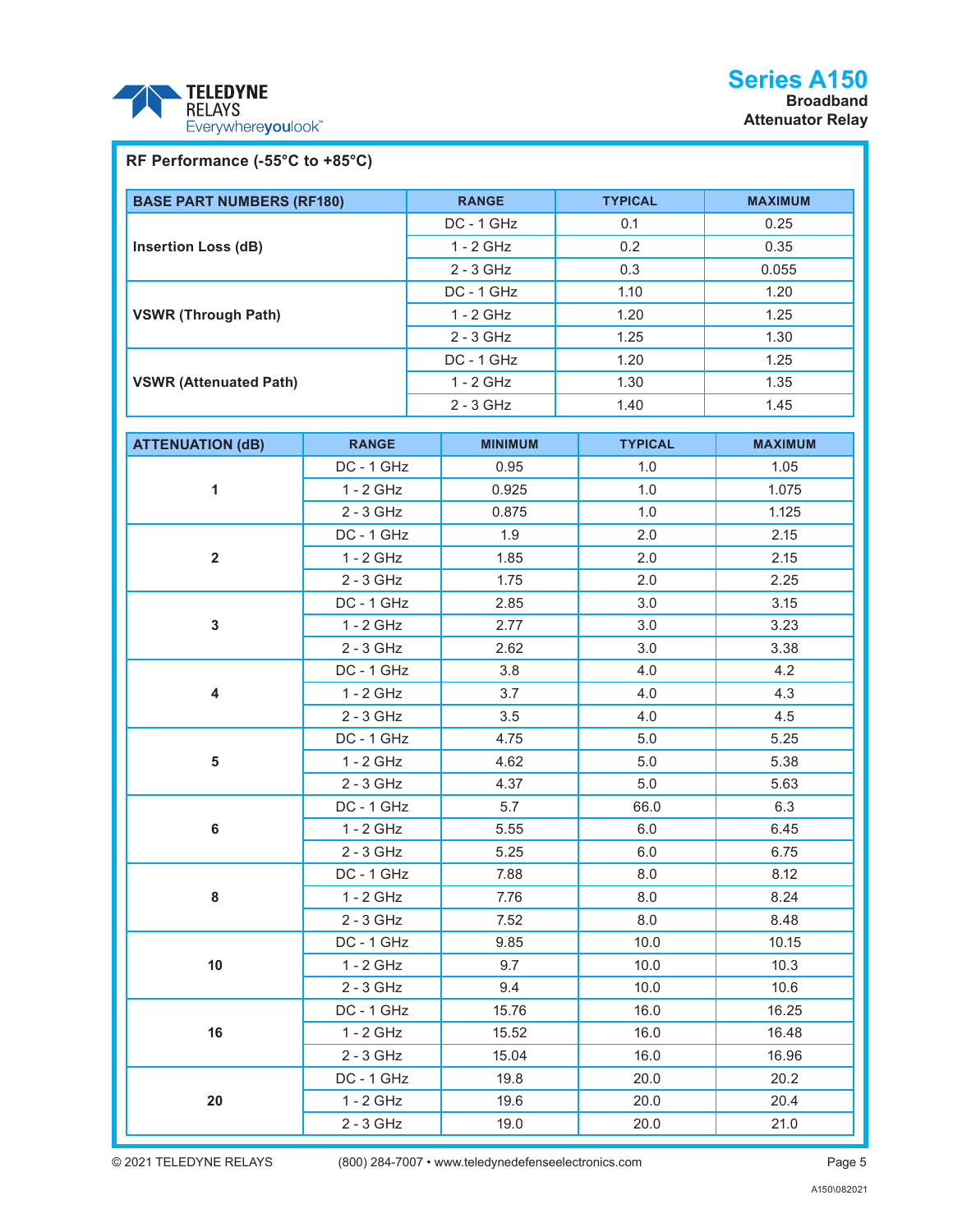

## **RF Performance (-55°C to +85°C)**

| <b>BASE PART NUMBERS (RF180)</b> | <b>RANGE</b> | <b>TYPICAL</b> | <b>MAXIMUM</b> |
|----------------------------------|--------------|----------------|----------------|
|                                  | $DC - 1 GHz$ | 0.1            | 0.25           |
| <b>Insertion Loss (dB)</b>       | $1 - 2$ GHz  | 0.2            | 0.35           |
|                                  | $2 - 3$ GHz  | 0.3            | 0.055          |
|                                  | $DC - 1 GHz$ | 1.10           | 1.20           |
| <b>VSWR (Through Path)</b>       | $1 - 2$ GHz  | 1.20           | 1.25           |
|                                  | $2 - 3$ GHz  | 1.25           | 1.30           |
|                                  | $DC - 1$ GHz | 1.20           | 1.25           |
| <b>VSWR (Attenuated Path)</b>    | $1 - 2$ GHz  | 1.30           | 1.35           |
|                                  | $2 - 3$ GHz  | 1.40           | 1.45           |

| <b>ATTENUATION (dB)</b> | <b>RANGE</b> | <b>MINIMUM</b> | <b>TYPICAL</b> | <b>MAXIMUM</b> |
|-------------------------|--------------|----------------|----------------|----------------|
| $\mathbf{1}$            | DC - 1 GHz   | 0.95           | 1.0            | 1.05           |
|                         | $1 - 2$ GHz  | 0.925          | 1.0            | 1.075          |
|                         | 2 - 3 GHz    | 0.875          | 1.0            | 1.125          |
|                         | DC - 1 GHz   | 1.9            | 2.0            | 2.15           |
| $\overline{2}$          | $1 - 2$ GHz  | 1.85           | 2.0            | 2.15           |
|                         | 2 - 3 GHz    | 1.75           | 2.0            | 2.25           |
|                         | DC - 1 GHz   | 2.85           | 3.0            | 3.15           |
| $\mathbf{3}$            | $1 - 2$ GHz  | 2.77           | 3.0            | 3.23           |
|                         | 2 - 3 GHz    | 2.62           | 3.0            | 3.38           |
|                         | DC - 1 GHz   | 3.8            | 4.0            | 4.2            |
| $\overline{\mathbf{4}}$ | $1 - 2$ GHz  | 3.7            | 4.0            | 4.3            |
|                         | 2 - 3 GHz    | 3.5            | 4.0            | 4.5            |
|                         | DC - 1 GHz   | 4.75           | 5.0            | 5.25           |
| 5                       | $1 - 2$ GHz  | 4.62           | 5.0            | 5.38           |
|                         | 2 - 3 GHz    | 4.37           | 5.0            | 5.63           |
|                         | DC - 1 GHz   | 5.7            | 66.0           | 6.3            |
| $\bf 6$                 | 1 - 2 GHz    | 5.55           | 6.0            | 6.45           |
|                         | 2 - 3 GHz    | 5.25           | 6.0            | 6.75           |
|                         | DC - 1 GHz   | 7.88           | 8.0            | 8.12           |
| 8                       | $1 - 2$ GHz  | 7.76           | 8.0            | 8.24           |
|                         | 2 - 3 GHz    | 7.52           | 8.0            | 8.48           |
|                         | DC - 1 GHz   | 9.85           | 10.0           | 10.15          |
| 10                      | $1 - 2$ GHz  | 9.7            | 10.0           | 10.3           |
|                         | 2 - 3 GHz    | 9.4            | 10.0           | 10.6           |
|                         | DC - 1 GHz   | 15.76          | 16.0           | 16.25          |
| 16                      | $1 - 2$ GHz  | 15.52          | 16.0           | 16.48          |
|                         | $2 - 3$ GHz  | 15.04          | 16.0           | 16.96          |
|                         | DC - 1 GHz   | 19.8           | 20.0           | 20.2           |
| 20                      | 1 - 2 GHz    | 19.6           | 20.0           | 20.4           |
|                         | 2 - 3 GHz    | 19.0           | 20.0           | 21.0           |